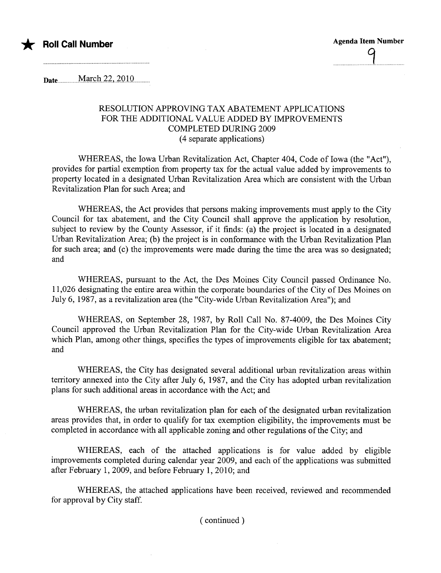

<u>...................</u>

Date...............Mê:r.;.h.2.2...2.010...........

## RESOLUTION APPROVING TAX ABATEMENT APPLICATIONS FOR THE ADDITIONAL VALUE ADDED BY IMPROVEMENTS COMPLETED DURING 2009 (4 separate applications)

WHEREAS, the Iowa Urban Revitalization Act, Chapter 404, Code of Iowa (the "Act"), provides for partial exemption from property tax for the actual value added by improvements to property located in a designated Urban Revitalization Area which are consistent with the Urban Revitalization Plan for such Area; and

WHEREAS, the Act provides that persons making improvements must apply to the City Council for tax abatement, and the City Council shall approve the application by resolution, subject to review by the County Assessor, if it finds: (a) the project is located in a designated Urban Revitalization Area; (b) the project is in conformance with the Urban Revitalization Plan for such area; and (c) the improvements were made during the time the area was so designated; and

WHEREAS, pursuant to the Act, the Des Moines City Council passed Ordinance No. 11,026 designating the entire area within the corporate boundaries of the City of Des Moines on July 6, 1987, as a revitalization area (the "City-wide Urban Revitalization Area"); and

WHEREAS, on September 28, 1987, by Roll Call No. 87-4009, the Des Moines City Council approved the Urban Revitalization Plan for the City-wide Urban Revitalization Area which Plan, among other things, specifies the types of improvements eligible for tax abatement; and

WHEREAS, the City has designated several additional urban revitalization areas within territory annexed into the City after July 6, 1987, and the City has adopted urban revitalization plans for such additional areas in accordance with the Act; and

WHEREAS, the urban revitalization plan for each of the designated urban revitalization areas provides that, in order to qualify for tax exemption eligibility, the improvements must be completed in accordance with all applicable zoning and other regulations of the City; and

WHEREAS, each of the attached applications is for value added by eligible improvements completed durng calendar year 2009, and each of the applications was submitted after February 1, 2009, and before February 1, 2010; and

WHEREAS, the attached applications have been received, reviewed and recommended for approval by City staff.

( continued)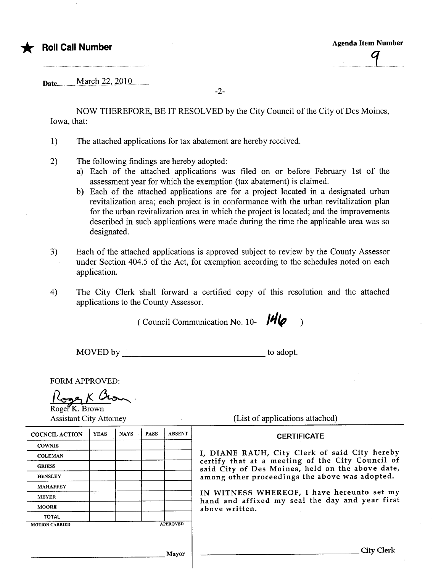Date.............MaiçA..2.2.,..2.010...........

-2-

NOW THEREFORE, BE IT RESOLVED by the City Council of the City of Des Moines, Iowa, that:

- 1) The attached applications for tax abatement are hereby received.
- 2) The following findings are hereby adopted:
	- a) Each of the attached applications was filed on or before February 1st of the assessment year for which the exemption (tax abatement) is claimed.
	- b) Each of the attached applications are for a project located in a designated urban revitalization area; each project is in conformance with the urban revitalization plan for the urban revitalization area in which the project is located; and the improvements described in such applications were made during the time the applicable area was so designated.
- 3) Each of the attached applications is approved subject to review by the County Assessor under Section 404.5 of the Act, for exemption according to the schedules noted on each application.
- 4) The City Clerk shall forward a certified copy of this resolution and the attached applications to the County Assessor.

( Council Communication No. 10-  $\frac{14}{6}$ 

MOVED by to adopt.

FORM APPROVED:

Roger K. Brown<br>Roger K. Brown<br>Assistant City Attorney (List of applications attached)

| (List of applications attached) |  |  |  |  |  |  |  |  |
|---------------------------------|--|--|--|--|--|--|--|--|
|---------------------------------|--|--|--|--|--|--|--|--|

## **CERTIFICATE**

I, DIANE RAUH, City Clerk of said City hereby certify that at a meeting of the City Council of said City of Des Moines, held on the above date, among other proceedings the above was adopted.

IN WITNESS WHEREOF, I have hereunto set my hand and affixed my seal the day and year first above written.

| <b>COUNCIL ACTION</b> | <b>YEAS</b> | <b>NAYS</b> | <b>PASS</b> | <b>ABSENT</b>   |
|-----------------------|-------------|-------------|-------------|-----------------|
| <b>COWNIE</b>         |             |             |             |                 |
| <b>COLEMAN</b>        |             |             |             |                 |
| <b>GRIESS</b>         |             |             |             |                 |
| <b>HENSLEY</b>        |             |             |             |                 |
| <b>MAHAFFEY</b>       |             |             |             |                 |
| <b>MEYER</b>          |             |             |             |                 |
| <b>MOORE</b>          |             |             |             |                 |
| <b>TOTAL</b>          |             |             |             |                 |
| <b>MOTION CARRIED</b> |             |             |             | <b>APPROVED</b> |
|                       |             |             |             |                 |
|                       |             |             |             |                 |

Mayor City Clerk